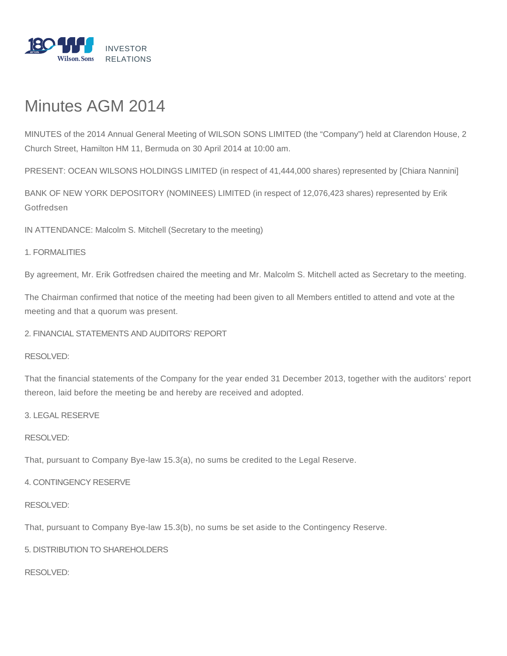

# Minutes AGM 2014

MINUTES of the 2014 Annual General Meeting of WILSON SONS LIMITED (the "Company") held at Clarendon House, 2 Church Street, Hamilton HM 11, Bermuda on 30 April 2014 at 10:00 am.

PRESENT: OCEAN WILSONS HOLDINGS LIMITED (in respect of 41,444,000 shares) represented by [Chiara Nannini]

BANK OF NEW YORK DEPOSITORY (NOMINEES) LIMITED (in respect of 12,076,423 shares) represented by Erik Gotfredsen

IN ATTENDANCE: Malcolm S. Mitchell (Secretary to the meeting)

#### 1. FORMALITIES

By agreement, Mr. Erik Gotfredsen chaired the meeting and Mr. Malcolm S. Mitchell acted as Secretary to the meeting.

The Chairman confirmed that notice of the meeting had been given to all Members entitled to attend and vote at the meeting and that a quorum was present.

2. FINANCIAL STATEMENTS AND AUDITORS' REPORT

RESOLVED:

That the financial statements of the Company for the year ended 31 December 2013, together with the auditors' report thereon, laid before the meeting be and hereby are received and adopted.

3. LEGAL RESERVE

#### RESOLVED:

That, pursuant to Company Bye-law 15.3(a), no sums be credited to the Legal Reserve.

#### 4. CONTINGENCY RESERVE

#### RESOLVED:

That, pursuant to Company Bye-law 15.3(b), no sums be set aside to the Contingency Reserve.

# 5. DISTRIBUTION TO SHAREHOLDERS

RESOLVED: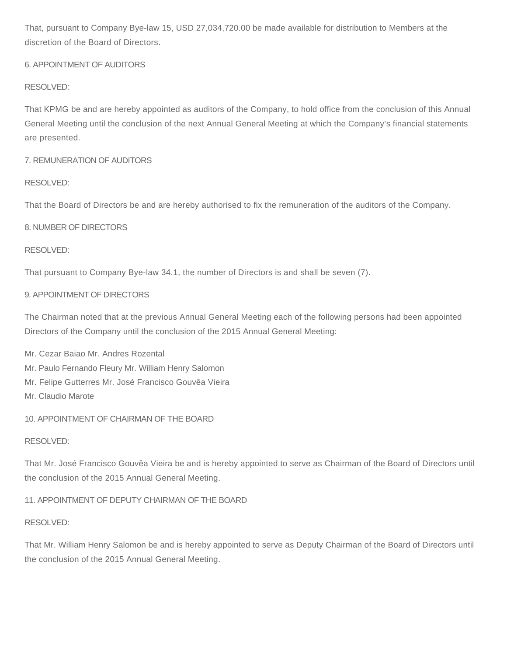That, pursuant to Company Bye-law 15, USD 27,034,720.00 be made available for distribution to Members at the discretion of the Board of Directors.

# 6. APPOINTMENT OF AUDITORS

# RESOLVED:

That KPMG be and are hereby appointed as auditors of the Company, to hold office from the conclusion of this Annual General Meeting until the conclusion of the next Annual General Meeting at which the Company's financial statements are presented.

# 7. REMUNERATION OF AUDITORS

# RESOLVED:

That the Board of Directors be and are hereby authorised to fix the remuneration of the auditors of the Company.

# 8. NUMBER OF DIRECTORS

# RESOLVED:

That pursuant to Company Bye-law 34.1, the number of Directors is and shall be seven (7).

# 9. APPOINTMENT OF DIRECTORS

The Chairman noted that at the previous Annual General Meeting each of the following persons had been appointed Directors of the Company until the conclusion of the 2015 Annual General Meeting:

- Mr. Cezar Baiao Mr. Andres Rozental
- Mr. Paulo Fernando Fleury Mr. William Henry Salomon
- Mr. Felipe Gutterres Mr. José Francisco Gouvêa Vieira
- Mr. Claudio Marote

# 10. APPOINTMENT OF CHAIRMAN OF THE BOARD

# RESOLVED:

That Mr. José Francisco Gouvêa Vieira be and is hereby appointed to serve as Chairman of the Board of Directors until the conclusion of the 2015 Annual General Meeting.

11. APPOINTMENT OF DEPUTY CHAIRMAN OF THE BOARD

# RESOLVED:

That Mr. William Henry Salomon be and is hereby appointed to serve as Deputy Chairman of the Board of Directors until the conclusion of the 2015 Annual General Meeting.